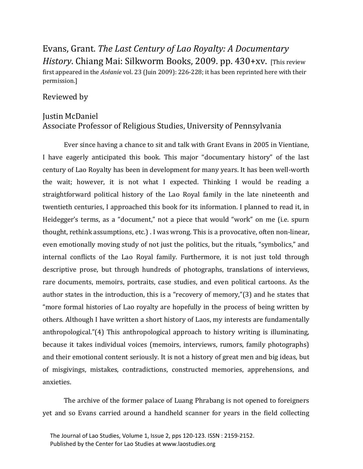Evans, Grant. *The Last Century of Lao Royalty: A Documentary History*. Chiang Mai: Silkworm Books, 2009. pp. 430+xv. [This review first appeared in the *Aséanie* vol. 23 (Juin 2009): 226-228; it has been reprinted here with their permission.]

## Reviewed by

## Justin McDaniel Associate Professor of Religious Studies, University of Pennsylvania

Ever since having a chance to sit and talk with Grant Evans in 2005 in Vientiane, I have eagerly anticipated this book. This major "documentary history" of the last century of Lao Royalty has been in development for many years. It has been well-worth the wait; however, it is not what I expected. Thinking I would be reading a straightforward political history of the Lao Royal family in the late nineteenth and twentieth centuries, I approached this book for its information. I planned to read it, in Heidegger's terms, as a "document," not a piece that would "work" on me (i.e. spurn thought, rethink assumptions, etc.) . I was wrong. This is a provocative, often non-linear, even emotionally moving study of not just the politics, but the rituals, "symbolics," and internal conflicts of the Lao Royal family. Furthermore, it is not just told through descriptive prose, but through hundreds of photographs, translations of interviews, rare documents, memoirs, portraits, case studies, and even political cartoons. As the author states in the introduction, this is a "recovery of memory,"(3) and he states that "more formal histories of Lao royalty are hopefully in the process of being written by others. Although I have written a short history of Laos, my interests are fundamentally anthropological."(4) This anthropological approach to history writing is illuminating, because it takes individual voices (memoirs, interviews, rumors, family photographs) and their emotional content seriously. It is not a history of great men and big ideas, but of misgivings, mistakes, contradictions, constructed memories, apprehensions, and anxieties.

The archive of the former palace of Luang Phrabang is not opened to foreigners yet and so Evans carried around a handheld scanner for years in the field collecting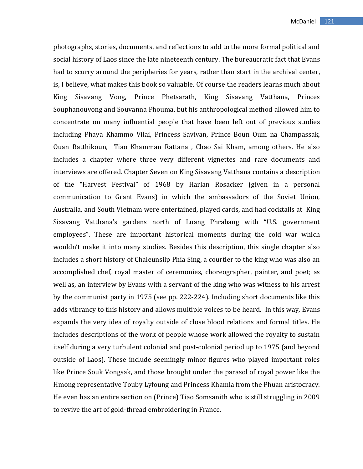photographs, stories, documents, and reflections to add to the more formal political and social history of Laos since the late nineteenth century. The bureaucratic fact that Evans had to scurry around the peripheries for years, rather than start in the archival center, is, I believe, what makes this book so valuable. Of course the readers learns much about King Sisavang Vong, Prince Phetsarath, King Sisavang Vatthana, Princes Souphanouvong and Souvanna Phouma, but his anthropological method allowed him to concentrate on many influential people that have been left out of previous studies including Phaya Khammo Vilai, Princess Savivan, Prince Boun Oum na Champassak, Ouan Ratthikoun, Tiao Khamman Rattana , Chao Sai Kham, among others. He also includes a chapter where three very different vignettes and rare documents and interviews are offered. Chapter Seven on King Sisavang Vatthana contains a description of the "Harvest Festival" of 1968 by Harlan Rosacker (given in a personal communication to Grant Evans) in which the ambassadors of the Soviet Union, Australia, and South Vietnam were entertained, played cards, and had cocktails at King Sisavang Vatthana's gardens north of Luang Phrabang with "U.S. government employees". These are important historical moments during the cold war which wouldn't make it into many studies. Besides this description, this single chapter also includes a short history of Chaleunsilp Phia Sing, a courtier to the king who was also an accomplished chef, royal master of ceremonies, choreographer, painter, and poet; as well as, an interview by Evans with a servant of the king who was witness to his arrest by the communist party in 1975 (see pp. 222-224). Including short documents like this adds vibrancy to this history and allows multiple voices to be heard. In this way, Evans expands the very idea of royalty outside of close blood relations and formal titles. He includes descriptions of the work of people whose work allowed the royalty to sustain itself during a very turbulent colonial and post-colonial period up to 1975 (and beyond outside of Laos). These include seemingly minor figures who played important roles like Prince Souk Vongsak, and those brought under the parasol of royal power like the Hmong representative Touby Lyfoung and Princess Khamla from the Phuan aristocracy. He even has an entire section on (Prince) Tiao Somsanith who is still struggling in 2009 to revive the art of gold-thread embroidering in France.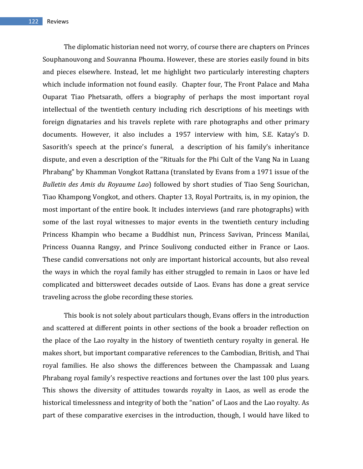The diplomatic historian need not worry, of course there are chapters on Princes Souphanouvong and Souvanna Phouma. However, these are stories easily found in bits and pieces elsewhere. Instead, let me highlight two particularly interesting chapters which include information not found easily. Chapter four, The Front Palace and Maha Ouparat Tiao Phetsarath, offers a biography of perhaps the most important royal intellectual of the twentieth century including rich descriptions of his meetings with foreign dignataries and his travels replete with rare photographs and other primary documents. However, it also includes a 1957 interview with him, S.E. Katay's D. Sasorith's speech at the prince's funeral, a description of his family's inheritance dispute, and even a description of the "Rituals for the Phi Cult of the Vang Na in Luang Phrabang" by Khamman Vongkot Rattana (translated by Evans from a 1971 issue of the *Bulletin des Amis du Royaume Lao*) followed by short studies of Tiao Seng Sourichan, Tiao Khampong Vongkot, and others. Chapter 13, Royal Portraits, is, in my opinion, the most important of the entire book. It includes interviews (and rare photographs) with some of the last royal witnesses to major events in the twentieth century including Princess Khampin who became a Buddhist nun, Princess Savivan, Princess Manilai, Princess Ouanna Rangsy, and Prince Soulivong conducted either in France or Laos. These candid conversations not only are important historical accounts, but also reveal the ways in which the royal family has either struggled to remain in Laos or have led complicated and bittersweet decades outside of Laos. Evans has done a great service traveling across the globe recording these stories.

This book is not solely about particulars though, Evans offers in the introduction and scattered at different points in other sections of the book a broader reflection on the place of the Lao royalty in the history of twentieth century royalty in general. He makes short, but important comparative references to the Cambodian, British, and Thai royal families. He also shows the differences between the Champassak and Luang Phrabang royal family's respective reactions and fortunes over the last 100 plus years. This shows the diversity of attitudes towards royalty in Laos, as well as erode the historical timelessness and integrity of both the "nation" of Laos and the Lao royalty. As part of these comparative exercises in the introduction, though, I would have liked to